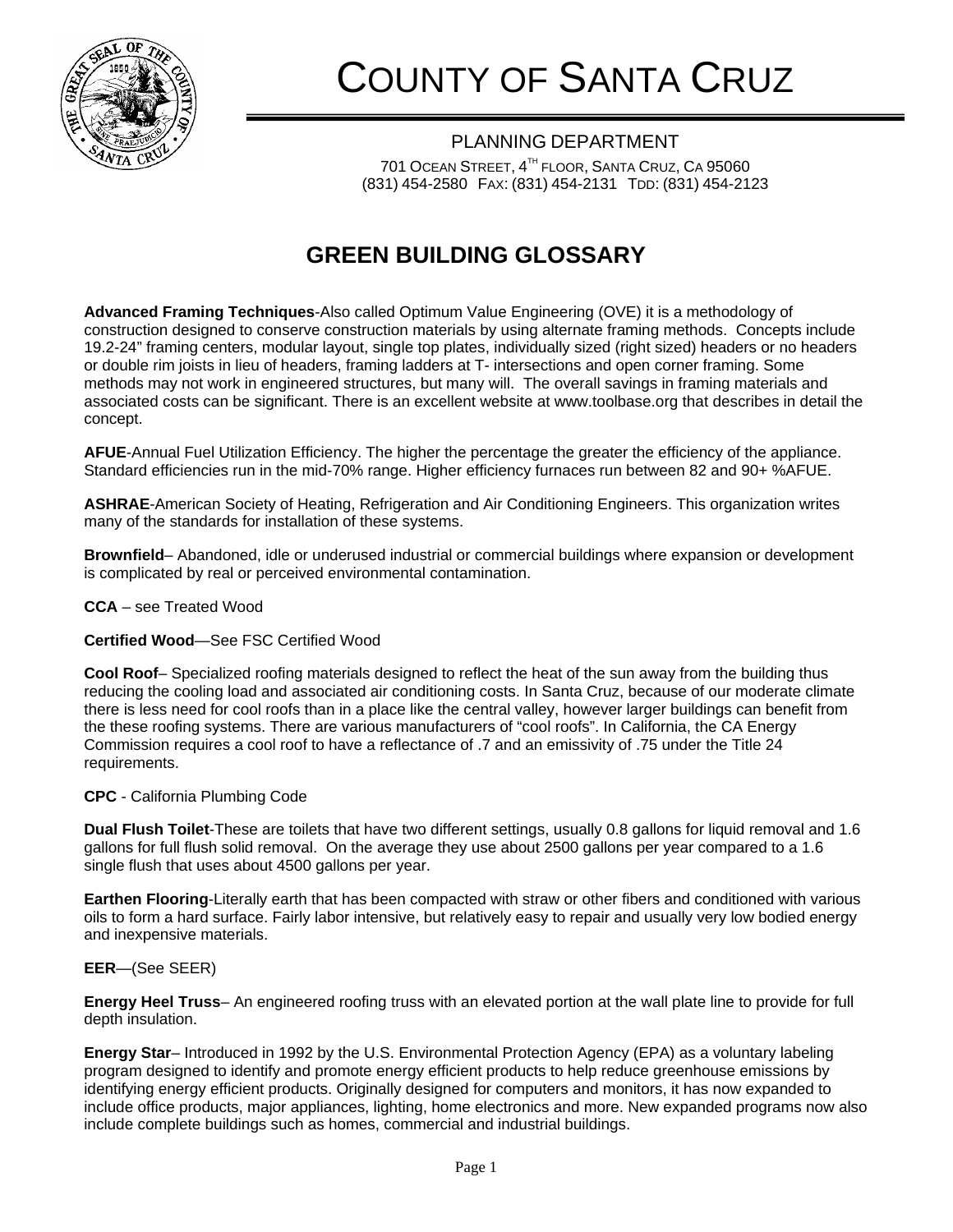

# COUNTY OF SANTA CRUZ

PLANNING DEPARTMENT 701 OCEAN STREET, 4TH FLOOR, SANTA CRUZ, CA 95060 (831) 454-2580 FAX: (831) 454-2131 TDD: (831) 454-2123

## **GREEN BUILDING GLOSSARY**

**Advanced Framing Techniques**-Also called Optimum Value Engineering (OVE) it is a methodology of construction designed to conserve construction materials by using alternate framing methods. Concepts include 19.2-24" framing centers, modular layout, single top plates, individually sized (right sized) headers or no headers or double rim joists in lieu of headers, framing ladders at T- intersections and open corner framing. Some methods may not work in engineered structures, but many will. The overall savings in framing materials and associated costs can be significant. There is an excellent website at www.toolbase.org that describes in detail the concept.

**AFUE**-Annual Fuel Utilization Efficiency. The higher the percentage the greater the efficiency of the appliance. Standard efficiencies run in the mid-70% range. Higher efficiency furnaces run between 82 and 90+ %AFUE.

**ASHRAE**-American Society of Heating, Refrigeration and Air Conditioning Engineers. This organization writes many of the standards for installation of these systems.

**Brownfield**– Abandoned, idle or underused industrial or commercial buildings where expansion or development is complicated by real or perceived environmental contamination.

**CCA** – see Treated Wood

**Certified Wood**—See FSC Certified Wood

**Cool Roof**– Specialized roofing materials designed to reflect the heat of the sun away from the building thus reducing the cooling load and associated air conditioning costs. In Santa Cruz, because of our moderate climate there is less need for cool roofs than in a place like the central valley, however larger buildings can benefit from the these roofing systems. There are various manufacturers of "cool roofs". In California, the CA Energy Commission requires a cool roof to have a reflectance of .7 and an emissivity of .75 under the Title 24 requirements.

### **CPC** - California Plumbing Code

**Dual Flush Toilet**-These are toilets that have two different settings, usually 0.8 gallons for liquid removal and 1.6 gallons for full flush solid removal. On the average they use about 2500 gallons per year compared to a 1.6 single flush that uses about 4500 gallons per year.

**Earthen Flooring**-Literally earth that has been compacted with straw or other fibers and conditioned with various oils to form a hard surface. Fairly labor intensive, but relatively easy to repair and usually very low bodied energy and inexpensive materials.

### **EER**—(See SEER)

**Energy Heel Truss**– An engineered roofing truss with an elevated portion at the wall plate line to provide for full depth insulation.

**Energy Star**– Introduced in 1992 by the U.S. Environmental Protection Agency (EPA) as a voluntary labeling program designed to identify and promote energy efficient products to help reduce greenhouse emissions by identifying energy efficient products. Originally designed for computers and monitors, it has now expanded to include office products, major appliances, lighting, home electronics and more. New expanded programs now also include complete buildings such as homes, commercial and industrial buildings.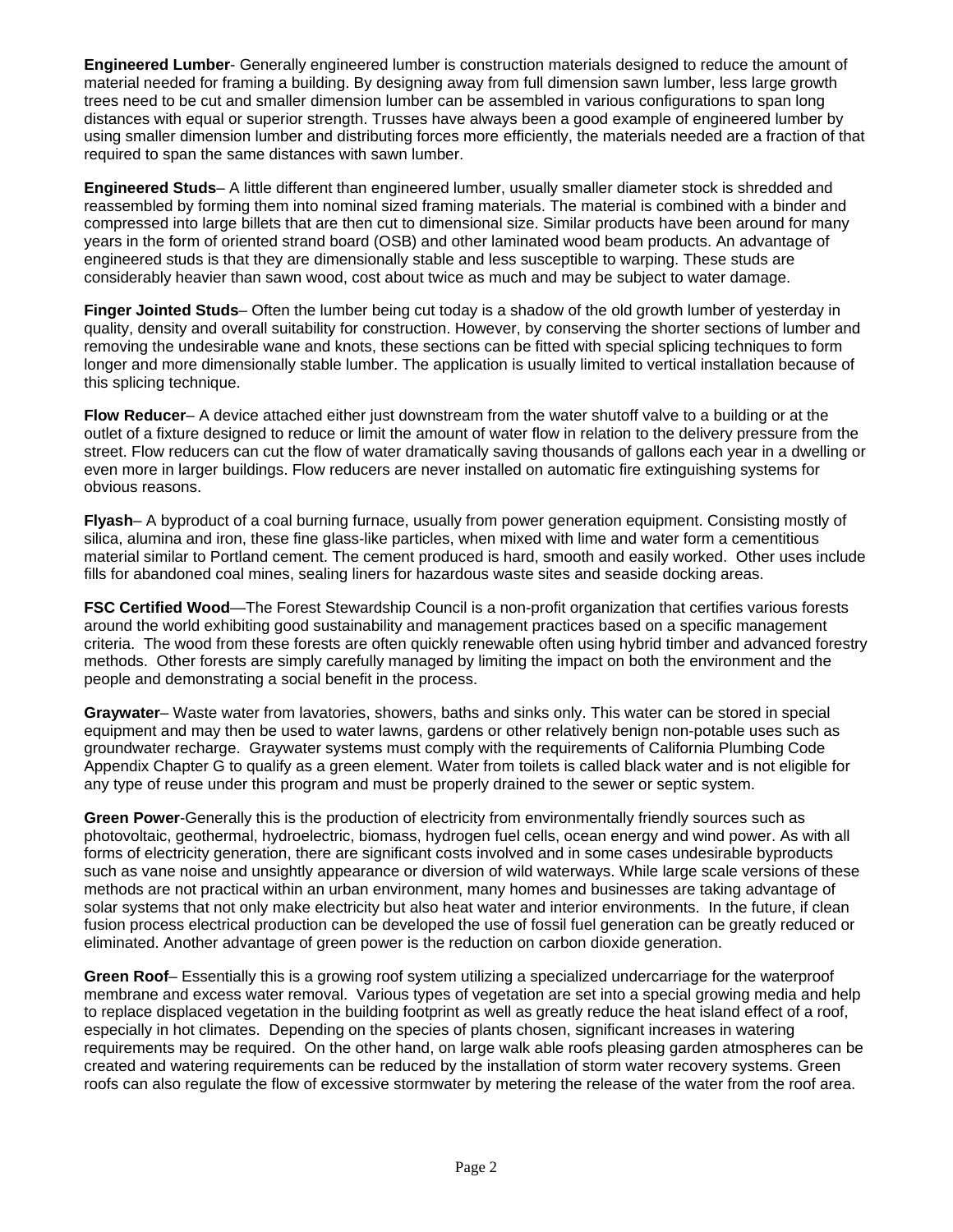**Engineered Lumber**- Generally engineered lumber is construction materials designed to reduce the amount of material needed for framing a building. By designing away from full dimension sawn lumber, less large growth trees need to be cut and smaller dimension lumber can be assembled in various configurations to span long distances with equal or superior strength. Trusses have always been a good example of engineered lumber by using smaller dimension lumber and distributing forces more efficiently, the materials needed are a fraction of that required to span the same distances with sawn lumber.

**Engineered Studs**– A little different than engineered lumber, usually smaller diameter stock is shredded and reassembled by forming them into nominal sized framing materials. The material is combined with a binder and compressed into large billets that are then cut to dimensional size. Similar products have been around for many years in the form of oriented strand board (OSB) and other laminated wood beam products. An advantage of engineered studs is that they are dimensionally stable and less susceptible to warping. These studs are considerably heavier than sawn wood, cost about twice as much and may be subject to water damage.

**Finger Jointed Studs**– Often the lumber being cut today is a shadow of the old growth lumber of yesterday in quality, density and overall suitability for construction. However, by conserving the shorter sections of lumber and removing the undesirable wane and knots, these sections can be fitted with special splicing techniques to form longer and more dimensionally stable lumber. The application is usually limited to vertical installation because of this splicing technique.

**Flow Reducer**– A device attached either just downstream from the water shutoff valve to a building or at the outlet of a fixture designed to reduce or limit the amount of water flow in relation to the delivery pressure from the street. Flow reducers can cut the flow of water dramatically saving thousands of gallons each year in a dwelling or even more in larger buildings. Flow reducers are never installed on automatic fire extinguishing systems for obvious reasons.

**Flyash**– A byproduct of a coal burning furnace, usually from power generation equipment. Consisting mostly of silica, alumina and iron, these fine glass-like particles, when mixed with lime and water form a cementitious material similar to Portland cement. The cement produced is hard, smooth and easily worked. Other uses include fills for abandoned coal mines, sealing liners for hazardous waste sites and seaside docking areas.

**FSC Certified Wood**—The Forest Stewardship Council is a non-profit organization that certifies various forests around the world exhibiting good sustainability and management practices based on a specific management criteria. The wood from these forests are often quickly renewable often using hybrid timber and advanced forestry methods. Other forests are simply carefully managed by limiting the impact on both the environment and the people and demonstrating a social benefit in the process.

**Graywater**– Waste water from lavatories, showers, baths and sinks only. This water can be stored in special equipment and may then be used to water lawns, gardens or other relatively benign non-potable uses such as groundwater recharge. Graywater systems must comply with the requirements of California Plumbing Code Appendix Chapter G to qualify as a green element. Water from toilets is called black water and is not eligible for any type of reuse under this program and must be properly drained to the sewer or septic system.

**Green Power**-Generally this is the production of electricity from environmentally friendly sources such as photovoltaic, geothermal, hydroelectric, biomass, hydrogen fuel cells, ocean energy and wind power. As with all forms of electricity generation, there are significant costs involved and in some cases undesirable byproducts such as vane noise and unsightly appearance or diversion of wild waterways. While large scale versions of these methods are not practical within an urban environment, many homes and businesses are taking advantage of solar systems that not only make electricity but also heat water and interior environments. In the future, if clean fusion process electrical production can be developed the use of fossil fuel generation can be greatly reduced or eliminated. Another advantage of green power is the reduction on carbon dioxide generation.

**Green Roof**– Essentially this is a growing roof system utilizing a specialized undercarriage for the waterproof membrane and excess water removal. Various types of vegetation are set into a special growing media and help to replace displaced vegetation in the building footprint as well as greatly reduce the heat island effect of a roof, especially in hot climates. Depending on the species of plants chosen, significant increases in watering requirements may be required. On the other hand, on large walk able roofs pleasing garden atmospheres can be created and watering requirements can be reduced by the installation of storm water recovery systems. Green roofs can also regulate the flow of excessive stormwater by metering the release of the water from the roof area.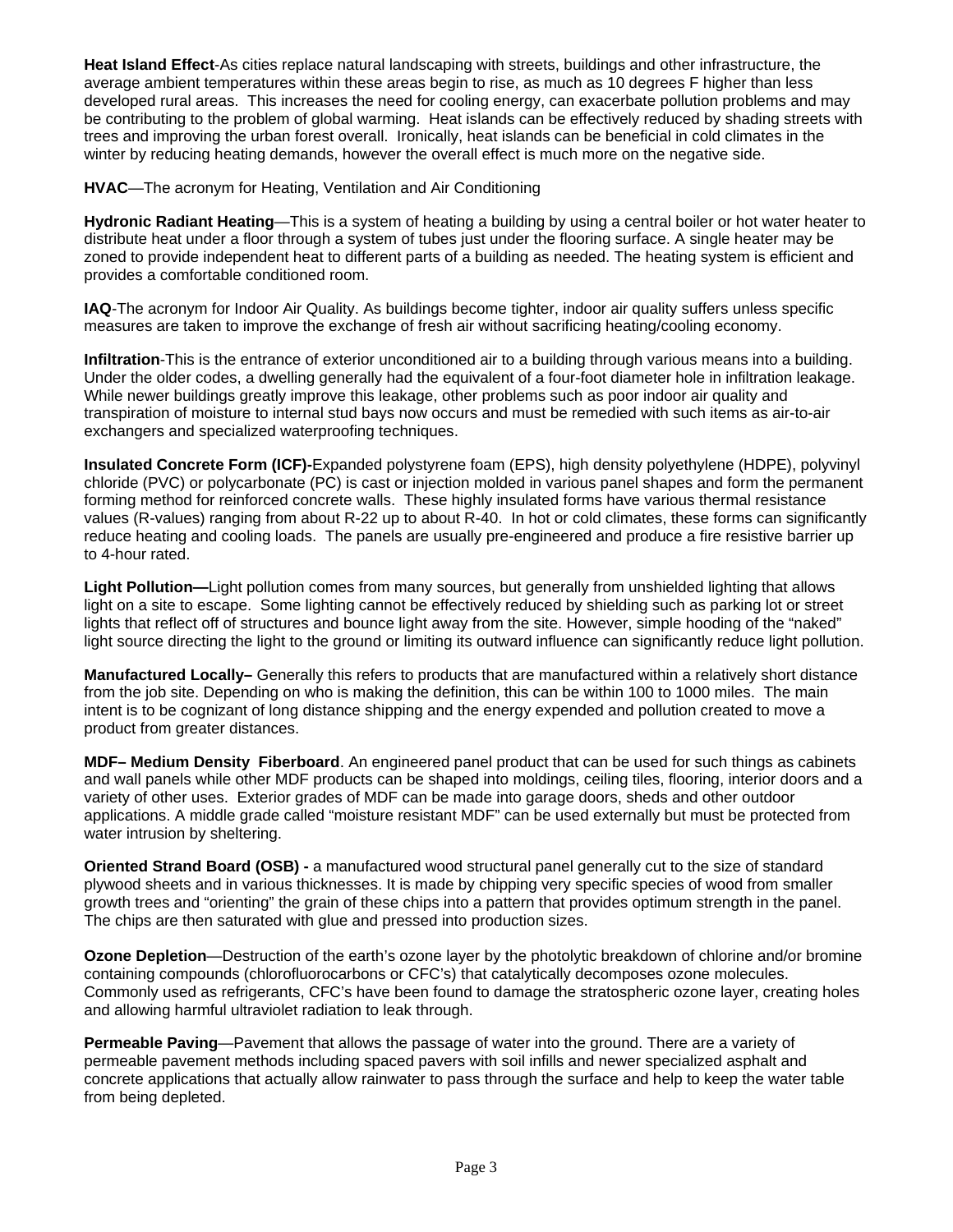**Heat Island Effect**-As cities replace natural landscaping with streets, buildings and other infrastructure, the average ambient temperatures within these areas begin to rise, as much as 10 degrees F higher than less developed rural areas. This increases the need for cooling energy, can exacerbate pollution problems and may be contributing to the problem of global warming. Heat islands can be effectively reduced by shading streets with trees and improving the urban forest overall. Ironically, heat islands can be beneficial in cold climates in the winter by reducing heating demands, however the overall effect is much more on the negative side.

**HVAC**—The acronym for Heating, Ventilation and Air Conditioning

**Hydronic Radiant Heating**—This is a system of heating a building by using a central boiler or hot water heater to distribute heat under a floor through a system of tubes just under the flooring surface. A single heater may be zoned to provide independent heat to different parts of a building as needed. The heating system is efficient and provides a comfortable conditioned room.

**IAQ**-The acronym for Indoor Air Quality. As buildings become tighter, indoor air quality suffers unless specific measures are taken to improve the exchange of fresh air without sacrificing heating/cooling economy.

**Infiltration**-This is the entrance of exterior unconditioned air to a building through various means into a building. Under the older codes, a dwelling generally had the equivalent of a four-foot diameter hole in infiltration leakage. While newer buildings greatly improve this leakage, other problems such as poor indoor air quality and transpiration of moisture to internal stud bays now occurs and must be remedied with such items as air-to-air exchangers and specialized waterproofing techniques.

**Insulated Concrete Form (ICF)-**Expanded polystyrene foam (EPS), high density polyethylene (HDPE), polyvinyl chloride (PVC) or polycarbonate (PC) is cast or injection molded in various panel shapes and form the permanent forming method for reinforced concrete walls. These highly insulated forms have various thermal resistance values (R-values) ranging from about R-22 up to about R-40. In hot or cold climates, these forms can significantly reduce heating and cooling loads. The panels are usually pre-engineered and produce a fire resistive barrier up to 4-hour rated.

**Light Pollution—**Light pollution comes from many sources, but generally from unshielded lighting that allows light on a site to escape. Some lighting cannot be effectively reduced by shielding such as parking lot or street lights that reflect off of structures and bounce light away from the site. However, simple hooding of the "naked" light source directing the light to the ground or limiting its outward influence can significantly reduce light pollution.

**Manufactured Locally–** Generally this refers to products that are manufactured within a relatively short distance from the job site. Depending on who is making the definition, this can be within 100 to 1000 miles. The main intent is to be cognizant of long distance shipping and the energy expended and pollution created to move a product from greater distances.

**MDF– Medium Density Fiberboard**. An engineered panel product that can be used for such things as cabinets and wall panels while other MDF products can be shaped into moldings, ceiling tiles, flooring, interior doors and a variety of other uses. Exterior grades of MDF can be made into garage doors, sheds and other outdoor applications. A middle grade called "moisture resistant MDF" can be used externally but must be protected from water intrusion by sheltering.

**Oriented Strand Board (OSB) -** a manufactured wood structural panel generally cut to the size of standard plywood sheets and in various thicknesses. It is made by chipping very specific species of wood from smaller growth trees and "orienting" the grain of these chips into a pattern that provides optimum strength in the panel. The chips are then saturated with glue and pressed into production sizes.

**Ozone Depletion**—Destruction of the earth's ozone layer by the photolytic breakdown of chlorine and/or bromine containing compounds (chlorofluorocarbons or CFC's) that catalytically decomposes ozone molecules. Commonly used as refrigerants, CFC's have been found to damage the stratospheric ozone layer, creating holes and allowing harmful ultraviolet radiation to leak through.

**Permeable Paving**—Pavement that allows the passage of water into the ground. There are a variety of permeable pavement methods including spaced pavers with soil infills and newer specialized asphalt and concrete applications that actually allow rainwater to pass through the surface and help to keep the water table from being depleted.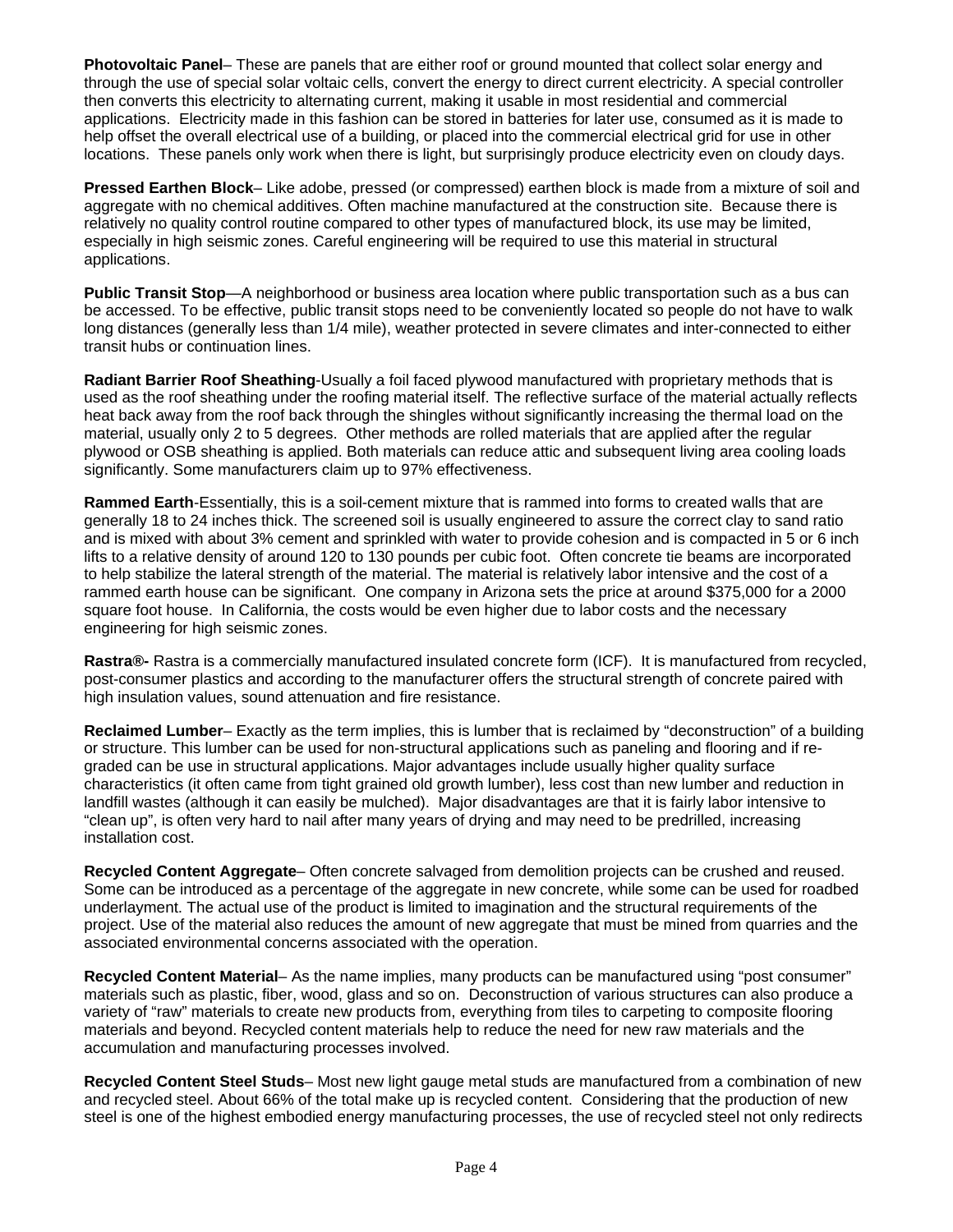**Photovoltaic Panel**– These are panels that are either roof or ground mounted that collect solar energy and through the use of special solar voltaic cells, convert the energy to direct current electricity. A special controller then converts this electricity to alternating current, making it usable in most residential and commercial applications. Electricity made in this fashion can be stored in batteries for later use, consumed as it is made to help offset the overall electrical use of a building, or placed into the commercial electrical grid for use in other locations. These panels only work when there is light, but surprisingly produce electricity even on cloudy days.

**Pressed Earthen Block**– Like adobe, pressed (or compressed) earthen block is made from a mixture of soil and aggregate with no chemical additives. Often machine manufactured at the construction site. Because there is relatively no quality control routine compared to other types of manufactured block, its use may be limited, especially in high seismic zones. Careful engineering will be required to use this material in structural applications.

**Public Transit Stop**—A neighborhood or business area location where public transportation such as a bus can be accessed. To be effective, public transit stops need to be conveniently located so people do not have to walk long distances (generally less than 1/4 mile), weather protected in severe climates and inter-connected to either transit hubs or continuation lines.

**Radiant Barrier Roof Sheathing**-Usually a foil faced plywood manufactured with proprietary methods that is used as the roof sheathing under the roofing material itself. The reflective surface of the material actually reflects heat back away from the roof back through the shingles without significantly increasing the thermal load on the material, usually only 2 to 5 degrees. Other methods are rolled materials that are applied after the regular plywood or OSB sheathing is applied. Both materials can reduce attic and subsequent living area cooling loads significantly. Some manufacturers claim up to 97% effectiveness.

**Rammed Earth**-Essentially, this is a soil-cement mixture that is rammed into forms to created walls that are generally 18 to 24 inches thick. The screened soil is usually engineered to assure the correct clay to sand ratio and is mixed with about 3% cement and sprinkled with water to provide cohesion and is compacted in 5 or 6 inch lifts to a relative density of around 120 to 130 pounds per cubic foot. Often concrete tie beams are incorporated to help stabilize the lateral strength of the material. The material is relatively labor intensive and the cost of a rammed earth house can be significant. One company in Arizona sets the price at around \$375,000 for a 2000 square foot house. In California, the costs would be even higher due to labor costs and the necessary engineering for high seismic zones.

**Rastra®-** Rastra is a commercially manufactured insulated concrete form (ICF). It is manufactured from recycled, post-consumer plastics and according to the manufacturer offers the structural strength of concrete paired with high insulation values, sound attenuation and fire resistance.

**Reclaimed Lumber**– Exactly as the term implies, this is lumber that is reclaimed by "deconstruction" of a building or structure. This lumber can be used for non-structural applications such as paneling and flooring and if regraded can be use in structural applications. Major advantages include usually higher quality surface characteristics (it often came from tight grained old growth lumber), less cost than new lumber and reduction in landfill wastes (although it can easily be mulched). Major disadvantages are that it is fairly labor intensive to "clean up", is often very hard to nail after many years of drying and may need to be predrilled, increasing installation cost.

**Recycled Content Aggregate**– Often concrete salvaged from demolition projects can be crushed and reused. Some can be introduced as a percentage of the aggregate in new concrete, while some can be used for roadbed underlayment. The actual use of the product is limited to imagination and the structural requirements of the project. Use of the material also reduces the amount of new aggregate that must be mined from quarries and the associated environmental concerns associated with the operation.

**Recycled Content Material**– As the name implies, many products can be manufactured using "post consumer" materials such as plastic, fiber, wood, glass and so on. Deconstruction of various structures can also produce a variety of "raw" materials to create new products from, everything from tiles to carpeting to composite flooring materials and beyond. Recycled content materials help to reduce the need for new raw materials and the accumulation and manufacturing processes involved.

**Recycled Content Steel Studs**– Most new light gauge metal studs are manufactured from a combination of new and recycled steel. About 66% of the total make up is recycled content. Considering that the production of new steel is one of the highest embodied energy manufacturing processes, the use of recycled steel not only redirects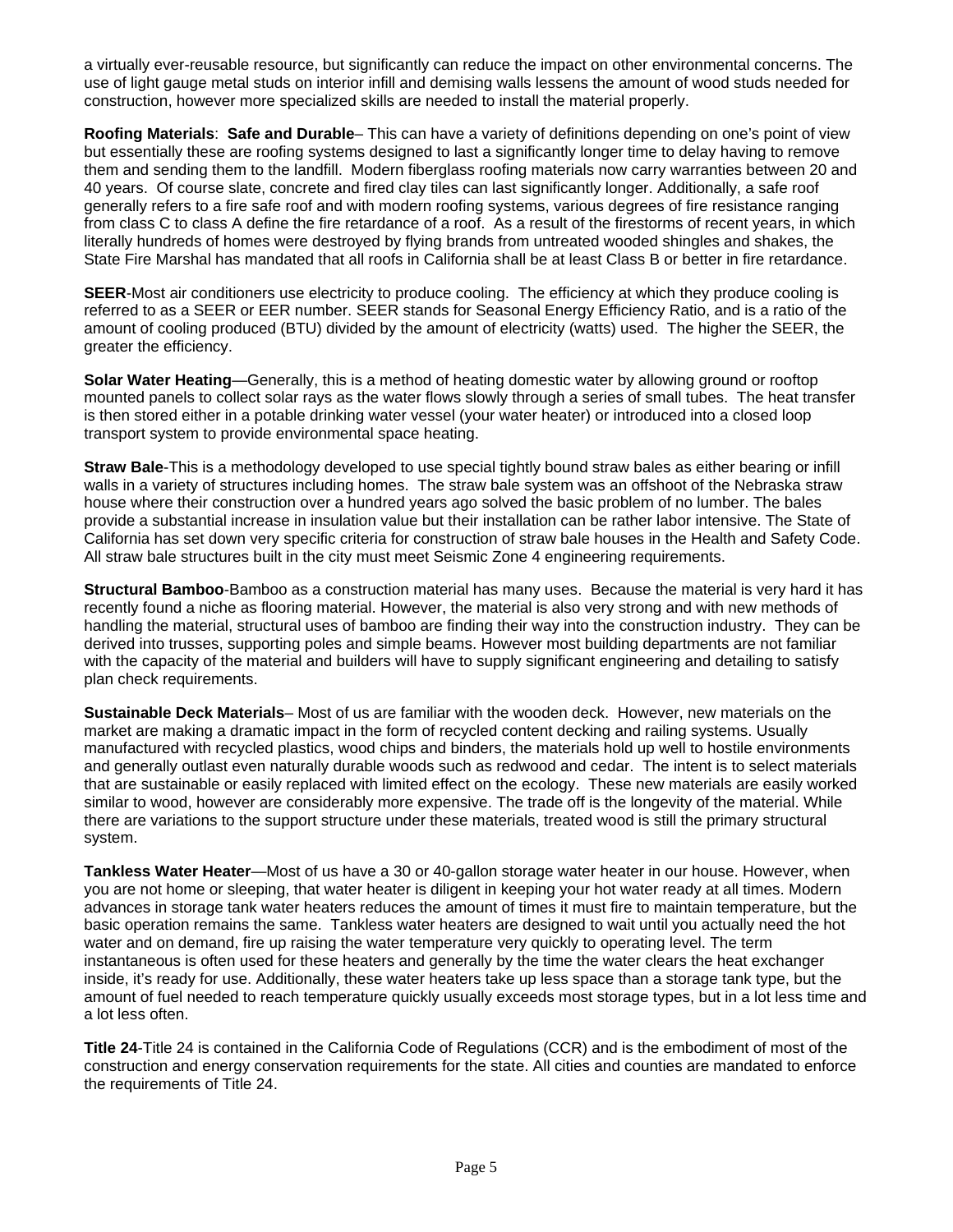a virtually ever-reusable resource, but significantly can reduce the impact on other environmental concerns. The use of light gauge metal studs on interior infill and demising walls lessens the amount of wood studs needed for construction, however more specialized skills are needed to install the material properly.

**Roofing Materials**: **Safe and Durable**– This can have a variety of definitions depending on one's point of view but essentially these are roofing systems designed to last a significantly longer time to delay having to remove them and sending them to the landfill. Modern fiberglass roofing materials now carry warranties between 20 and 40 years. Of course slate, concrete and fired clay tiles can last significantly longer. Additionally, a safe roof generally refers to a fire safe roof and with modern roofing systems, various degrees of fire resistance ranging from class C to class A define the fire retardance of a roof. As a result of the firestorms of recent years, in which literally hundreds of homes were destroyed by flying brands from untreated wooded shingles and shakes, the State Fire Marshal has mandated that all roofs in California shall be at least Class B or better in fire retardance.

**SEER**-Most air conditioners use electricity to produce cooling. The efficiency at which they produce cooling is referred to as a SEER or EER number. SEER stands for Seasonal Energy Efficiency Ratio, and is a ratio of the amount of cooling produced (BTU) divided by the amount of electricity (watts) used. The higher the SEER, the greater the efficiency.

**Solar Water Heating**—Generally, this is a method of heating domestic water by allowing ground or rooftop mounted panels to collect solar rays as the water flows slowly through a series of small tubes. The heat transfer is then stored either in a potable drinking water vessel (your water heater) or introduced into a closed loop transport system to provide environmental space heating.

**Straw Bale**-This is a methodology developed to use special tightly bound straw bales as either bearing or infill walls in a variety of structures including homes. The straw bale system was an offshoot of the Nebraska straw house where their construction over a hundred years ago solved the basic problem of no lumber. The bales provide a substantial increase in insulation value but their installation can be rather labor intensive. The State of California has set down very specific criteria for construction of straw bale houses in the Health and Safety Code. All straw bale structures built in the city must meet Seismic Zone 4 engineering requirements.

**Structural Bamboo**-Bamboo as a construction material has many uses. Because the material is very hard it has recently found a niche as flooring material. However, the material is also very strong and with new methods of handling the material, structural uses of bamboo are finding their way into the construction industry. They can be derived into trusses, supporting poles and simple beams. However most building departments are not familiar with the capacity of the material and builders will have to supply significant engineering and detailing to satisfy plan check requirements.

**Sustainable Deck Materials**– Most of us are familiar with the wooden deck. However, new materials on the market are making a dramatic impact in the form of recycled content decking and railing systems. Usually manufactured with recycled plastics, wood chips and binders, the materials hold up well to hostile environments and generally outlast even naturally durable woods such as redwood and cedar. The intent is to select materials that are sustainable or easily replaced with limited effect on the ecology. These new materials are easily worked similar to wood, however are considerably more expensive. The trade off is the longevity of the material. While there are variations to the support structure under these materials, treated wood is still the primary structural system.

**Tankless Water Heater**—Most of us have a 30 or 40-gallon storage water heater in our house. However, when you are not home or sleeping, that water heater is diligent in keeping your hot water ready at all times. Modern advances in storage tank water heaters reduces the amount of times it must fire to maintain temperature, but the basic operation remains the same. Tankless water heaters are designed to wait until you actually need the hot water and on demand, fire up raising the water temperature very quickly to operating level. The term instantaneous is often used for these heaters and generally by the time the water clears the heat exchanger inside, it's ready for use. Additionally, these water heaters take up less space than a storage tank type, but the amount of fuel needed to reach temperature quickly usually exceeds most storage types, but in a lot less time and a lot less often.

**Title 24**-Title 24 is contained in the California Code of Regulations (CCR) and is the embodiment of most of the construction and energy conservation requirements for the state. All cities and counties are mandated to enforce the requirements of Title 24.